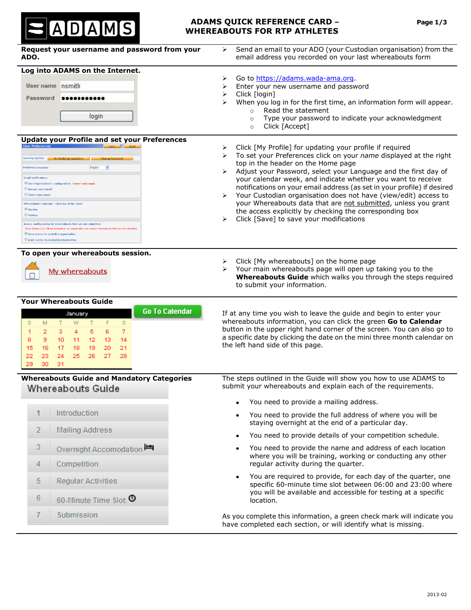

# **ADAMS QUICK REFERENCE CARD – Page 1/3 WHEREABOUTS FOR RTP ATHLETES**

| Request your username and password from your<br>ADO.                                                                                                                                                                                                                                                                                                                                                                                                                                                                                                                                                                                                                                | Send an email to your ADO (your Custodian organisation) from the<br>⋗<br>email address you recorded on your last whereabouts form                                                                                                                                                                                                                                                                                                                                                                                                                                                                                                                                                  |  |  |  |
|-------------------------------------------------------------------------------------------------------------------------------------------------------------------------------------------------------------------------------------------------------------------------------------------------------------------------------------------------------------------------------------------------------------------------------------------------------------------------------------------------------------------------------------------------------------------------------------------------------------------------------------------------------------------------------------|------------------------------------------------------------------------------------------------------------------------------------------------------------------------------------------------------------------------------------------------------------------------------------------------------------------------------------------------------------------------------------------------------------------------------------------------------------------------------------------------------------------------------------------------------------------------------------------------------------------------------------------------------------------------------------|--|--|--|
| Log into ADAMS on the Internet.<br>User name nsmith<br>Password<br><br>login                                                                                                                                                                                                                                                                                                                                                                                                                                                                                                                                                                                                        | Go to https://adams.wada-ama.org.<br>⋗<br>Enter your new username and password<br>➤<br>Click [login]<br>➤<br>When you log in for the first time, an information form will appear.<br>⋗<br>Read the statement<br>$\circ$<br>Type your password to indicate your acknowledgment<br>$\circ$                                                                                                                                                                                                                                                                                                                                                                                           |  |  |  |
| <b>Update your Profile and set your Preferences</b><br><b>User Preferences</b><br><b>Security Options</b><br><b>Change Password</b><br>English<br>$\checkmark$<br><b>Preferred Language</b><br><b>Email Notifications</b><br>© Use Organization's Configuration: Never send email<br>C Always send email<br>O Never send email<br>Whereabouts Calendar - First day of the week<br>$\odot$ Sunday<br>O Monday<br><b>Access configuration for whereabouts that are not submitted</b><br>Since Adams 2.0, without delegation, no organization can access whereabouts that are not subm<br>O deny access to custodial organization<br>$\bigcirc$ grant access to custodial organization | Click [Accept]<br>$\circ$<br>Click [My Profile] for updating your profile if required<br>➤<br>To set your Preferences click on your name displayed at the right<br>➤<br>top in the header on the Home page<br>Adjust your Password, select your Language and the first day of<br>➤<br>your calendar week, and indicate whether you want to receive<br>notifications on your email address (as set in your profile) if desired<br>Your Custodian organisation does not have (view/edit) access to<br>➤<br>your Whereabouts data that are not submitted, unless you grant<br>the access explicitly by checking the corresponding box<br>Click [Save] to save your modifications<br>≻ |  |  |  |
| To open your whereabouts session.<br>My whereabouts                                                                                                                                                                                                                                                                                                                                                                                                                                                                                                                                                                                                                                 | Click [My whereabouts] on the home page<br>⋗<br>Your main whereabouts page will open up taking you to the<br>➤<br>Whereabouts Guide which walks you through the steps required<br>to submit your information.                                                                                                                                                                                                                                                                                                                                                                                                                                                                      |  |  |  |
| <b>Your Whereabouts Guide</b><br><b>Go To Calendar</b><br>January<br>M<br>T<br>F<br>s.<br>s<br>w<br>T<br>7<br>2<br>з<br>5<br>6<br>1<br>4<br>10<br>-13<br>8<br>9.<br>-11<br>12<br>14<br>17<br>19.<br>20<br>21<br>15<br>16<br>18<br>23<br>24<br>25<br>26<br>27<br>28<br>22<br>29<br>30<br>31                                                                                                                                                                                                                                                                                                                                                                                          | If at any time you wish to leave the guide and begin to enter your<br>whereabouts information, you can click the green Go to Calendar<br>button in the upper right hand corner of the screen. You can also go to<br>a specific date by clicking the date on the mini three month calendar on<br>the left hand side of this page.                                                                                                                                                                                                                                                                                                                                                   |  |  |  |
| <b>Whereabouts Guide and Mandatory Categories</b><br>Whereabouts Guide                                                                                                                                                                                                                                                                                                                                                                                                                                                                                                                                                                                                              | The steps outlined in the Guide will show you how to use ADAMS to<br>submit your whereabouts and explain each of the requirements.                                                                                                                                                                                                                                                                                                                                                                                                                                                                                                                                                 |  |  |  |
| Introduction<br>1                                                                                                                                                                                                                                                                                                                                                                                                                                                                                                                                                                                                                                                                   | You need to provide a mailing address.<br>$\bullet$<br>You need to provide the full address of where you will be<br>staying overnight at the end of a particular day.                                                                                                                                                                                                                                                                                                                                                                                                                                                                                                              |  |  |  |
| $\overline{2}$<br><b>Mailing Address</b>                                                                                                                                                                                                                                                                                                                                                                                                                                                                                                                                                                                                                                            | You need to provide details of your competition schedule.<br>٠                                                                                                                                                                                                                                                                                                                                                                                                                                                                                                                                                                                                                     |  |  |  |
| 3<br>Overnight Accomodation<br>4<br>Competition                                                                                                                                                                                                                                                                                                                                                                                                                                                                                                                                                                                                                                     | You need to provide the name and address of each location<br>where you will be training, working or conducting any other<br>regular activity during the quarter.<br>You are required to provide, for each day of the quarter, one<br>$\bullet$<br>specific 60-minute time slot between 06:00 and 23:00 where<br>you will be available and accessible for testing at a specific<br>location.<br>As you complete this information, a green check mark will indicate you<br>have completed each section, or will identify what is missing.                                                                                                                                            |  |  |  |
| 5<br><b>Regular Activities</b><br>6<br>60-Minute Time Slot <sup>O</sup>                                                                                                                                                                                                                                                                                                                                                                                                                                                                                                                                                                                                             |                                                                                                                                                                                                                                                                                                                                                                                                                                                                                                                                                                                                                                                                                    |  |  |  |
| 7<br>Submission                                                                                                                                                                                                                                                                                                                                                                                                                                                                                                                                                                                                                                                                     |                                                                                                                                                                                                                                                                                                                                                                                                                                                                                                                                                                                                                                                                                    |  |  |  |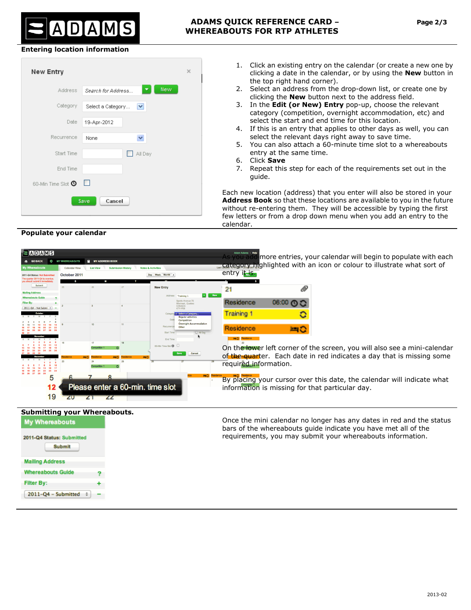# ADAMS

## **Entering location information**

**Populate your calendar** 



- 1. Click an existing entry on the [calendar](javascript:showView() (or create a new one by clicking a date in the calendar, or by using the **New** button in the top right hand corner).
- 2. Select an address from the drop-down list, or create one by clicking the **New** button next to the address field.
- 3. In the **Edit (or New) Entry** pop-up, choose the relevant category (competition, overnight accommodation, etc) and select the start and end time for this location.
- 4. If this is an entry that applies to other days as well, you can select the relevant days right away to save time.
- 5. You can also attach a 60-minute time slot to a whereabouts entry at the same time.
- 6. Click **Save**
- 7. Repeat this step for each of the requirements set out in the guide.

Each new location (address) that you enter will also be stored in your **Address Book** so that these locations are available to you in the future without re-entering them. They will be accessible by typing the first few letters or from a drop down menu when you add an entry to the calendar.

| <b>ADAMS</b><br>O<br><b>MY WHEREABOUTS</b><br><b>GO BACK</b><br><b>Calendar View</b><br>October 2011<br>011-Q4 Status: Not Submitte<br>he quarter 2011-O4 is overdue | <b>MY ADDRESS BOOK</b> | <b>Submission History</b> | <b>Notes &amp; Activities</b><br>Day Week<br>Month                                                   | As you add more entries, your calendar will begin to populate with each<br>category highlighted with an icon or colour to illustrate what sort of<br>entry it is.                                    |
|----------------------------------------------------------------------------------------------------------------------------------------------------------------------|------------------------|---------------------------|------------------------------------------------------------------------------------------------------|------------------------------------------------------------------------------------------------------------------------------------------------------------------------------------------------------|
| Submit                                                                                                                                                               |                        |                           | <b>New Entry</b>                                                                                     | ®<br>21                                                                                                                                                                                              |
| $011 - \Omega_0$ - Not Submi                                                                                                                                         |                        |                           | Training<br>CANADA<br>K7Y-P08<br>Select a Categon                                                    | New<br>Residence<br>06:00 ① C<br><b>Training 1</b>                                                                                                                                                   |
|                                                                                                                                                                      |                        |                           | <b>Reqular activities</b><br>Competition<br>Overnight Accommodation<br>T All Da<br><b>Start Time</b> | Residence<br>当こ                                                                                                                                                                                      |
| 23                                                                                                                                                                   |                        | 25                        | End Time<br>60-Min Time Slot <sup>(0)</sup><br>$\Box$<br>Cancel                                      | ■○ Residence<br>On the lower left corner of the screen, you will also see a mini-calendar<br>of the quarter. Each date in red indicates a day that is missing some<br>required information.          |
| b<br>19                                                                                                                                                              |                        |                           | Please enter a 60-min. time slot                                                                     | By placing your cursor over this date, the calendar will indicate what<br>information is missing for that particular day.                                                                            |
| <b>Submitting your Whereabouts.</b><br><b>My Whereabouts</b><br>2011-Q4 Status: Submitted<br><b>Submit</b>                                                           |                        |                           |                                                                                                      | Once the mini calendar no longer has any dates in red and the status<br>bars of the whereabouts guide indicate you have met all of the<br>requirements, you may submit your whereabouts information. |
| <b>Mailing Address</b>                                                                                                                                               |                        |                           |                                                                                                      |                                                                                                                                                                                                      |
| <b>Whereabouts Guide</b><br><b>Filter By:</b><br>2011-Q4 - Submitted                                                                                                 |                        |                           |                                                                                                      |                                                                                                                                                                                                      |